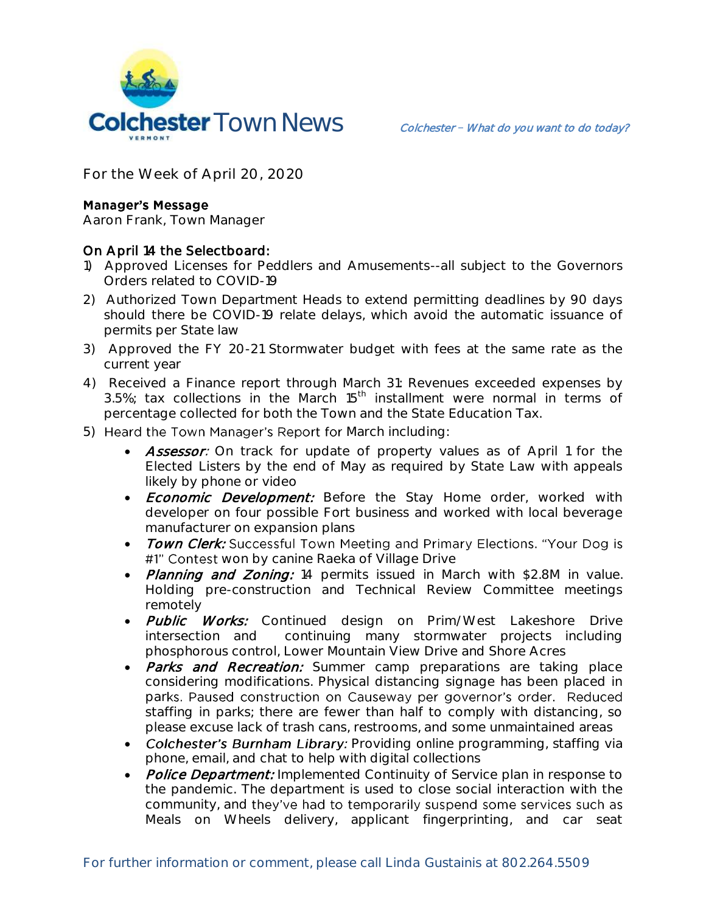

**For the Week of April 20, 2020**

## **Manager's Message**

**Aaron Frank, Town Manager**

## On April 14 the Selectboard:

- 1) Approved Licenses for Peddlers and Amusements--all subject to the Governors Orders related to COVID-19
- 2) Authorized Town Department Heads to extend permitting deadlines by 90 days should there be COVID-19 relate delays, which avoid the automatic issuance of permits per State law
- 3) Approved the FY 20-21 Stormwater budget with fees at the same rate as the current year
- 4) Received a Finance report through March 31: Revenues exceeded expenses by 3.5%; tax collections in the March  $15<sup>th</sup>$  installment were normal in terms of percentage collected for both the Town and the State Education Tax.
- 5) Heard the Town Manager's Report for March including:
	- Assessor: On track for update of property values as of April 1 for the Elected Listers by the end of May as required by State Law with appeals likely by phone or video
	- Economic Development: Before the Stay Home order, worked with developer on four possible Fort business and worked with local beverage manufacturer on expansion plans
	- Town Clerk: Successful Town Meeting and Primary Elections. "Your Dog is #1" Contest won by canine Raeka of Village Drive
	- Planning and Zoning: 14 permits issued in March with \$2.8M in value. Holding pre-construction and Technical Review Committee meetings remotely
	- Public Works: Continued design on Prim/West Lakeshore Drive intersection and continuing many stormwater projects including phosphorous control, Lower Mountain View Drive and Shore Acres
	- Parks and Recreation: Summer camp preparations are taking place considering modifications. Physical distancing signage has been placed in parks. Paused construction on Causeway per governor's order. Reduced staffing in parks; there are fewer than half to comply with distancing, so please excuse lack of trash cans, restrooms, and some unmaintained areas
	- Colchester's Burnham Library: Providing online programming, staffing via phone, email, and chat to help with digital collections
	- Police Department: Implemented Continuity of Service plan in response to the pandemic. The department is used to close social interaction with the community, and they've had to temporarily suspend some services such as Meals on Wheels delivery, applicant fingerprinting, and car seat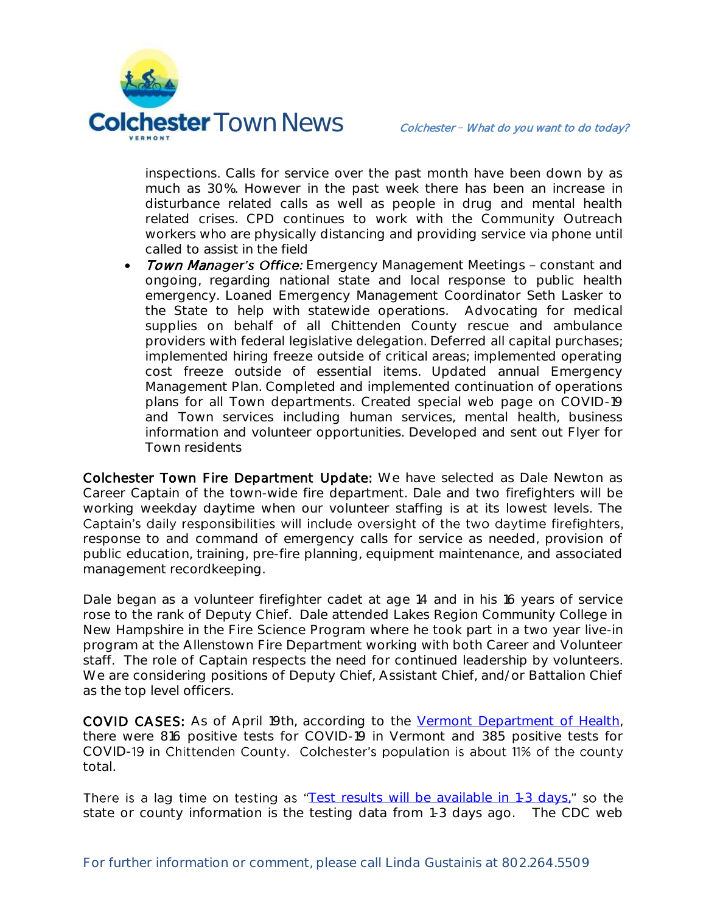

inspections. Calls for service over the past month have been down by as much as 30%. However in the past week there has been an increase in disturbance related calls as well as people in drug and mental health related crises. CPD continues to work with the Community Outreach workers who are physically distancing and providing service via phone until called to assist in the field

Town Manager's Office: Emergency Management Meetings - constant and ongoing, regarding national state and local response to public health emergency. Loaned Emergency Management Coordinator Seth Lasker to the State to help with statewide operations. Advocating for medical supplies on behalf of all Chittenden County rescue and ambulance providers with federal legislative delegation. Deferred all capital purchases; implemented hiring freeze outside of critical areas; implemented operating cost freeze outside of essential items. Updated annual Emergency Management Plan. Completed and implemented continuation of operations plans for all Town departments. Created special web page on COVID-19 and Town services including human services, mental health, business information and volunteer opportunities. Developed and sent out Flyer for Town residents

Colchester Town Fire Department Update: We have selected as Dale Newton as Career Captain of the town-wide fire department. Dale and two firefighters will be working weekday daytime when our volunteer staffing is at its lowest levels. The Captain's daily responsibilities will include oversight of the two daytime firefighters, response to and command of emergency calls for service as needed, provision of public education, training, pre-fire planning, equipment maintenance, and associated management recordkeeping.

Dale began as a volunteer firefighter cadet at age 14 and in his 16 years of service rose to the rank of Deputy Chief. Dale attended Lakes Region Community College in New Hampshire in the Fire Science Program where he took part in a two year live-in program at the Allenstown Fire Department working with both Career and Volunteer staff. The role of Captain respects the need for continued leadership by volunteers. We are considering positions of Deputy Chief, Assistant Chief, and/or Battalion Chief as the top level officers.

**COVID CASES:** As of April 19th, according to the [Vermont Department of Health,](https://www.healthvermont.gov/response/infectious-disease/2019-novel-coronavirus) there were 816 positive tests for COVID-19 in Vermont and 385 positive tests for COVID-19 in Chittenden County. Colchester's population is about 11% of the county total.

There is a lag time on testing as "[Test results will be available in 1-3 days,](https://www.healthvermont.gov/response/infectious-disease/2019-novel-coronavirus)" so the state or county information is the testing data from 1-3 days ago. The CDC web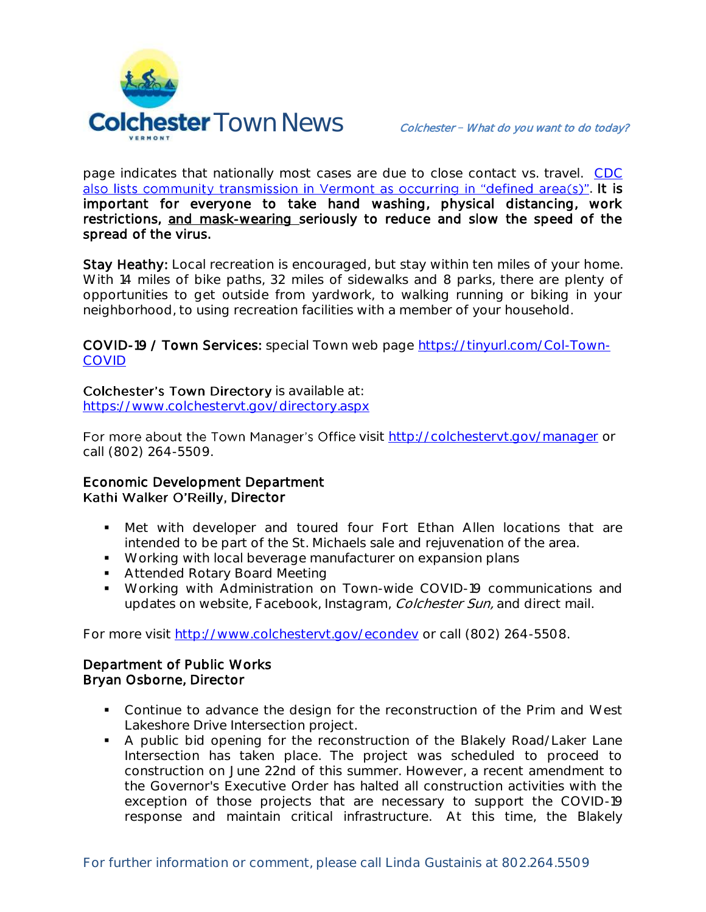

page indicates that nationally most cases are due to close contact vs. travel. [CDC](https://www.cdc.gov/coronavirus/2019-ncov/cases-updates/cases-in-us.html#reporting-cases)  also lists community transmission in Vermont as occurring in "defined area(s)"[.](https://www.cdc.gov/coronavirus/2019-ncov/cases-updates/cases-in-us.html#reporting-cases) It is important for everyone to take hand washing, physical distancing, work restrictions, and mask-wearing seriously to reduce and slow the speed of the spread of the virus.

Stay Heathy: Local recreation is encouraged, but stay within ten miles of your home. With 14 miles of bike paths, 32 miles of sidewalks and 8 parks, there are plenty of opportunities to get outside from yardwork, to walking running or biking in your neighborhood, to using recreation facilities with a member of your household.

COVID-19 / Town Services: special Town web page [https://tinyurl.com/Col-Town-](https://tinyurl.com/Col-Town-COVID)**[COVID](https://tinyurl.com/Col-Town-COVID)** 

Colchester's Town Directory is available at:

<https://www.colchestervt.gov/directory.aspx>

For more about the Town Manager's Office visit<http://colchestervt.gov/manager> or call (802) 264-5509.

## Economic Development Department Kathi Walker O'Reilly, Director

- Met with developer and toured four Fort Ethan Allen locations that are intended to be part of the St. Michaels sale and rejuvenation of the area.
- **Working with local beverage manufacturer on expansion plans**
- **Attended Rotary Board Meeting**
- Working with Administration on Town-wide COVID-19 communications and updates on website, Facebook, Instagram, Colchester Sun, and direct mail.

For more visit [http://www.colchestervt.gov/e](http://www.colchestervt.gov/)condev or call (802) 264-5508.

## Department of Public Works Bryan Osborne, Director

- Continue to advance the design for the reconstruction of the Prim and West Lakeshore Drive Intersection project.
- A public bid opening for the reconstruction of the Blakely Road/Laker Lane Intersection has taken place. The project was scheduled to proceed to construction on June 22nd of this summer. However, a recent amendment to the Governor's Executive Order has halted all construction activities with the exception of those projects that are necessary to support the COVID-19 response and maintain critical infrastructure. At this time, the Blakely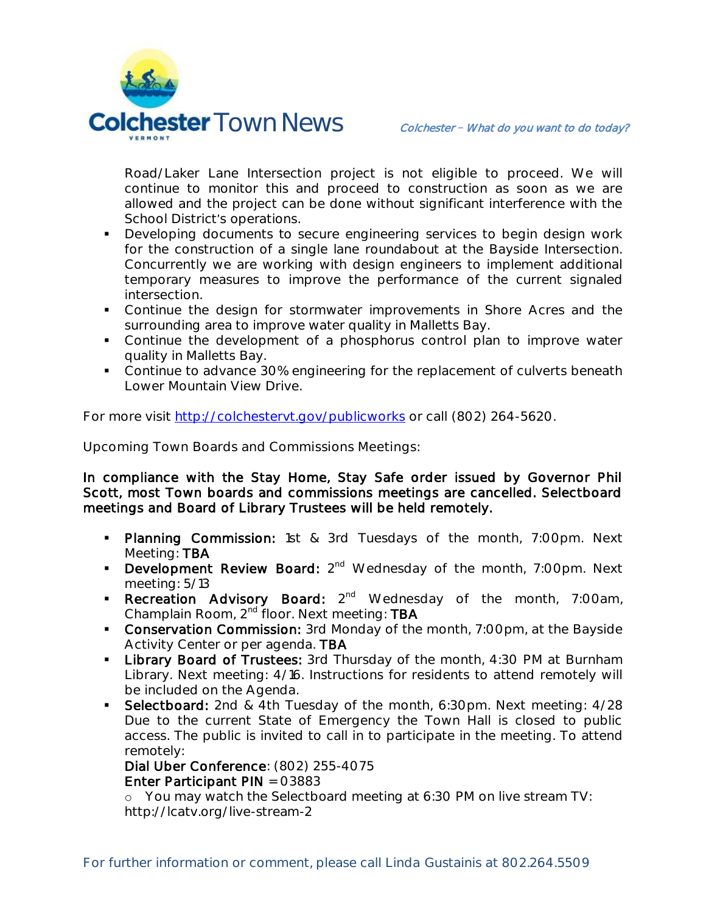

Road/Laker Lane Intersection project is not eligible to proceed. We will continue to monitor this and proceed to construction as soon as we are allowed and the project can be done without significant interference with the School District's operations.

- **Developing documents to secure engineering services to begin design work** for the construction of a single lane roundabout at the Bayside Intersection. Concurrently we are working with design engineers to implement additional temporary measures to improve the performance of the current signaled intersection.
- Continue the design for stormwater improvements in Shore Acres and the surrounding area to improve water quality in Malletts Bay.
- Continue the development of a phosphorus control plan to improve water quality in Malletts Bay.
- Continue to advance 30% engineering for the replacement of culverts beneath Lower Mountain View Drive.

For more visit<http://colchestervt.gov/publicworks> or call (802) 264-5620.

**Upcoming Town Boards and Commissions Meetings:** 

In compliance with the Stay Home, Stay Safe order issued by Governor Phil Scott, most Town boards and commissions meetings are cancelled. Selectboard meetings and Board of Library Trustees will be held remotely.

- **Planning Commission:** 1st & 3rd Tuesdays of the month, 7:00pm. Next Meeting: TBA
- Development Review Board: 2<sup>nd</sup> Wednesday of the month, 7:00pm. Next meeting: 5/13
- **Recreation Advisory Board:** 2<sup>nd</sup> Wednesday of the month, 7:00am, Champlain Room, 2<sup>nd</sup> floor. Next meeting: TBA
- **Conservation Commission:** 3rd Monday of the month, 7:00pm, at the Bayside Activity Center or per agenda. TBA
- **Library Board of Trustees:** 3rd Thursday of the month, 4:30 PM at Burnham Library. Next meeting: 4/16. Instructions for residents to attend remotely will be included on the Agenda.
- Selectboard: 2nd & 4th Tuesday of the month, 6:30pm. Next meeting: 4/28 Due to the current State of Emergency the Town Hall is closed to public access. The public is invited to call in to participate in the meeting. To attend remotely:

 Dial Uber Conference: (802) 255-4075 Enter Participant PIN = 03883

o You may watch the Selectboard meeting at 6:30 PM on live stream TV: http://lcatv.org/live-stream-2